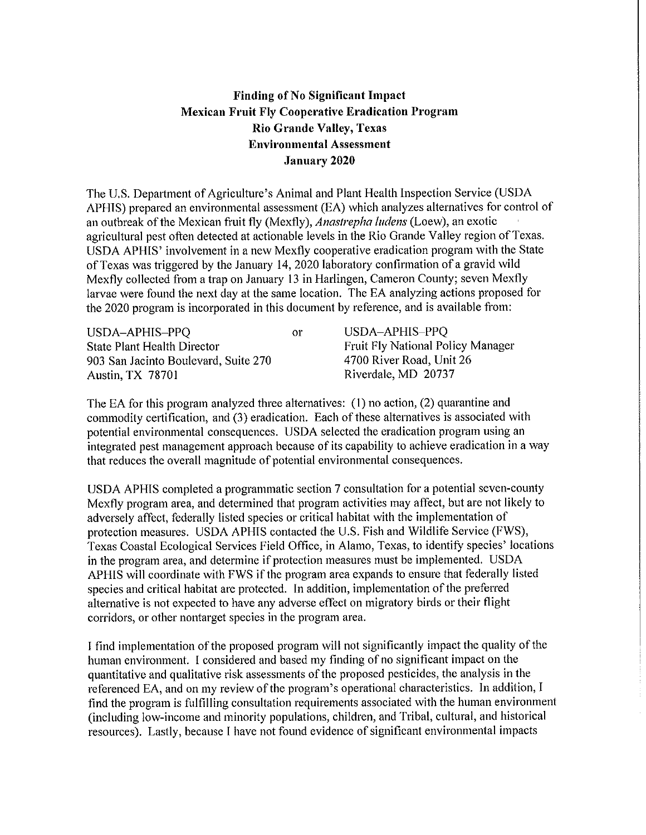## **Finding of No Significant Impact Mexican Fruit Fly Cooperative Erndicatiou Program Rio Grande Valley, Texas Environmental Assessment January 2020**

The U.S. Depattment of Agriculture's Animal and Plant Health Inspection Service (USDA A PHIS) prepared an environmental assessment (EA) which analyzes alternatives for control of an outbreak of the Mexican fruit fly (Mexfly), *Anastrepha ludens* (Loew), an exotic agricultural pest often detected at actionable levels in the Rio Grande Valley region of Texas. USDA APHIS' involvement in a new Mexfly cooperative eradication program with the State of Texas was triggered by the January 14, 2020 laboratory confirmation of a gravid wild Mexfly collected from a trap on January 13 in Harlingen, Cameron County; seven Mexfly larvae were found the next day at the same location. The EA analyzing actions proposed for the 2020 program is incorporated in this document by reference, and is available from:

| USDA-APHIS-PPQ                       | Oľ. | USDA-APHIS-PPQ                           |
|--------------------------------------|-----|------------------------------------------|
| State Plant Health Director          |     | <b>Fruit Fly National Policy Manager</b> |
| 903 San Jacinto Boulevard, Suite 270 |     | 4700 River Road, Unit 26                 |
| <b>Austin, TX 78701</b>              |     | Riverdale, MD 20737                      |

The EA for this program analyzed three alternatives: (I) no action, (2) quarantine and commodity certification, and (3) eradication. Each of these alternatives is associated with potential environmental consequences. USDA selected the eradication program using an integrated pest management approach because of its capability to achieve eradication in a way that reduces the overall magnitude of potential environmental consequences.

USDA APHIS completed a programmatic section 7 consultation for a potential seven-county Mexfly program area, and determined that program activities may affect, but are not likely to adversely affect, federally listed species or critical habitat with the implementation of protection measures. USDA APHIS contacted the U.S. Fish and Wildlife Service (FWS), Texas Coastal Ecological Services Field Office, in Alamo, Texas, to identify species' locations in the program area, and determine if protection measures must be implemented. USDA AP HIS will coordinate with FWS if the program area expands to ensure that federally listed species and critical habitat are protected. In addition, implementation of the preferred alternative is not expected to have any adverse effect on migratory birds or their flight corridors, or other nontarget species in the program area.

I find implementation of the proposed program will not significantly impact the quality of the human environment. I considered and based my finding of no significant impact on the quantitative and qualitative risk assessments of the proposed pesticides, the analysis in the referenced EA, and on my review of the program's operational characteristics. In addition, I find the program is fulfilling consultation requirements associated with the human environment (including low-income and minority populations, children, and Tribal, cultural, and historical resources). Lastly, because I have not found evidence of significant environmental impacts